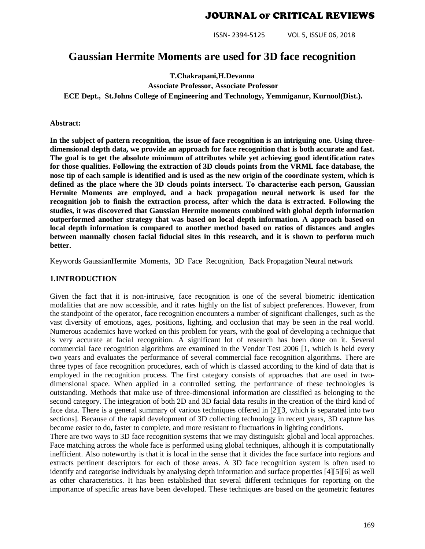ISSN- 2394-5125 VOL 5, ISSUE 06, 2018

# **Gaussian Hermite Moments are used for 3D face recognition**

## **T.Chakrapani,H.Devanna Associate Professor, Associate Professor ECE Dept., St.Johns College of Engineering and Technology, Yemmiganur, Kurnool(Dist.).**

### **Abstract:**

**In the subject of pattern recognition, the issue of face recognition is an intriguing one. Using threedimensional depth data, we provide an approach for face recognition that is both accurate and fast. The goal is to get the absolute minimum of attributes while yet achieving good identification rates for those qualities. Following the extraction of 3D clouds points from the VRML face database, the nose tip of each sample is identified and is used as the new origin of the coordinate system, which is defined as the place where the 3D clouds points intersect. To characterise each person, Gaussian Hermite Moments are employed, and a back propagation neural network is used for the recognition job to finish the extraction process, after which the data is extracted. Following the studies, it was discovered that Gaussian Hermite moments combined with global depth information outperformed another strategy that was based on local depth information. A approach based on local depth information is compared to another method based on ratios of distances and angles between manually chosen facial fiducial sites in this research, and it is shown to perform much better.**

Keywords GaussianHermite Moments, 3D Face Recognition, Back Propagation Neural network

### **1.INTRODUCTION**

Given the fact that it is non-intrusive, face recognition is one of the several biometric identication modalities that are now accessible, and it rates highly on the list of subject preferences. However, from the standpoint of the operator, face recognition encounters a number of significant challenges, such as the vast diversity of emotions, ages, positions, lighting, and occlusion that may be seen in the real world. Numerous academics have worked on this problem for years, with the goal of developing a technique that is very accurate at facial recognition. A significant lot of research has been done on it. Several commercial face recognition algorithms are examined in the Vendor Test 2006 [1, which is held every two years and evaluates the performance of several commercial face recognition algorithms. There are three types of face recognition procedures, each of which is classed according to the kind of data that is employed in the recognition process. The first category consists of approaches that are used in twodimensional space. When applied in a controlled setting, the performance of these technologies is outstanding. Methods that make use of three-dimensional information are classified as belonging to the second category. The integration of both 2D and 3D facial data results in the creation of the third kind of face data. There is a general summary of various techniques offered in [2][3, which is separated into two sections]. Because of the rapid development of 3D collecting technology in recent years, 3D capture has become easier to do, faster to complete, and more resistant to fluctuations in lighting conditions.

There are two ways to 3D face recognition systems that we may distinguish: global and local approaches. Face matching across the whole face is performed using global techniques, although it is computationally inefficient. Also noteworthy is that it is local in the sense that it divides the face surface into regions and extracts pertinent descriptors for each of those areas. A 3D face recognition system is often used to identify and categorise individuals by analysing depth information and surface properties [4][5][6] as well as other characteristics. It has been established that several different techniques for reporting on the importance of specific areas have been developed. These techniques are based on the geometric features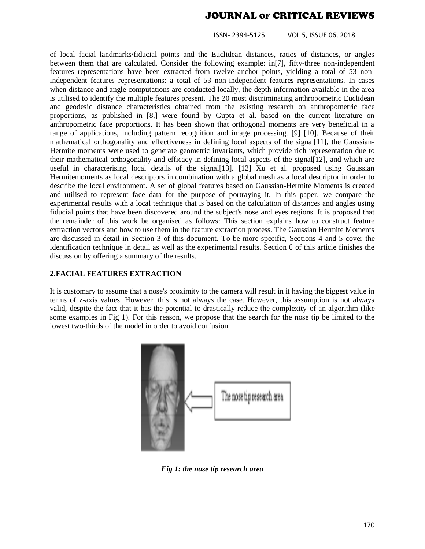ISSN- 2394-5125 VOL 5, ISSUE 06, 2018

of local facial landmarks/fiducial points and the Euclidean distances, ratios of distances, or angles between them that are calculated. Consider the following example: in[7], fifty-three non-independent features representations have been extracted from twelve anchor points, yielding a total of 53 nonindependent features representations: a total of 53 non-independent features representations. In cases when distance and angle computations are conducted locally, the depth information available in the area is utilised to identify the multiple features present. The 20 most discriminating anthropometric Euclidean and geodesic distance characteristics obtained from the existing research on anthropometric face proportions, as published in [8,] were found by Gupta et al. based on the current literature on anthropometric face proportions. It has been shown that orthogonal moments are very beneficial in a range of applications, including pattern recognition and image processing. [9] [10]. Because of their mathematical orthogonality and effectiveness in defining local aspects of the signal[11], the Gaussian-Hermite moments were used to generate geometric invariants, which provide rich representation due to their mathematical orthogonality and efficacy in defining local aspects of the signal[12], and which are useful in characterising local details of the signal<sup>[13]</sup>. [12] Xu et al. proposed using Gaussian Hermitemoments as local descriptors in combination with a global mesh as a local descriptor in order to describe the local environment. A set of global features based on Gaussian-Hermite Moments is created and utilised to represent face data for the purpose of portraying it. In this paper, we compare the experimental results with a local technique that is based on the calculation of distances and angles using fiducial points that have been discovered around the subject's nose and eyes regions. It is proposed that the remainder of this work be organised as follows: This section explains how to construct feature extraction vectors and how to use them in the feature extraction process. The Gaussian Hermite Moments are discussed in detail in Section 3 of this document. To be more specific, Sections 4 and 5 cover the identification technique in detail as well as the experimental results. Section 6 of this article finishes the discussion by offering a summary of the results.

### **2.FACIAL FEATURES EXTRACTION**

It is customary to assume that a nose's proximity to the camera will result in it having the biggest value in terms of z-axis values. However, this is not always the case. However, this assumption is not always valid, despite the fact that it has the potential to drastically reduce the complexity of an algorithm (like some examples in Fig 1). For this reason, we propose that the search for the nose tip be limited to the lowest two-thirds of the model in order to avoid confusion.



*Fig 1: the nose tip research area*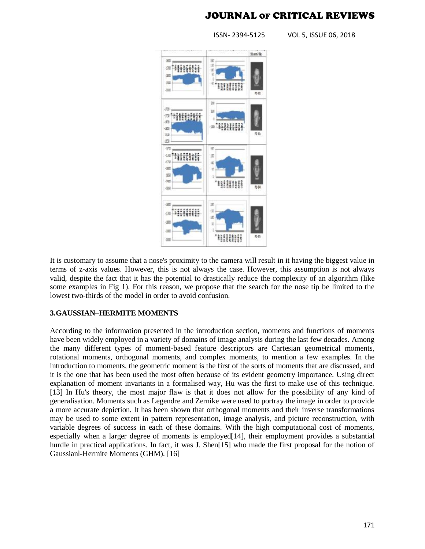ISSN- 2394-5125 VOL 5, ISSUE 06, 2018



It is customary to assume that a nose's proximity to the camera will result in it having the biggest value in terms of z-axis values. However, this is not always the case. However, this assumption is not always valid, despite the fact that it has the potential to drastically reduce the complexity of an algorithm (like some examples in Fig 1). For this reason, we propose that the search for the nose tip be limited to the lowest two-thirds of the model in order to avoid confusion.

### **3.GAUSSIAN–HERMITE MOMENTS**

According to the information presented in the introduction section, moments and functions of moments have been widely employed in a variety of domains of image analysis during the last few decades. Among the many different types of moment-based feature descriptors are Cartesian geometrical moments, rotational moments, orthogonal moments, and complex moments, to mention a few examples. In the introduction to moments, the geometric moment is the first of the sorts of moments that are discussed, and it is the one that has been used the most often because of its evident geometry importance. Using direct explanation of moment invariants in a formalised way, Hu was the first to make use of this technique. [13] In Hu's theory, the most major flaw is that it does not allow for the possibility of any kind of generalisation. Moments such as Legendre and Zernike were used to portray the image in order to provide a more accurate depiction. It has been shown that orthogonal moments and their inverse transformations may be used to some extent in pattern representation, image analysis, and picture reconstruction, with variable degrees of success in each of these domains. With the high computational cost of moments, especially when a larger degree of moments is employed[14], their employment provides a substantial hurdle in practical applications. In fact, it was J. Shen[15] who made the first proposal for the notion of Gaussianl-Hermite Moments (GHM). [16]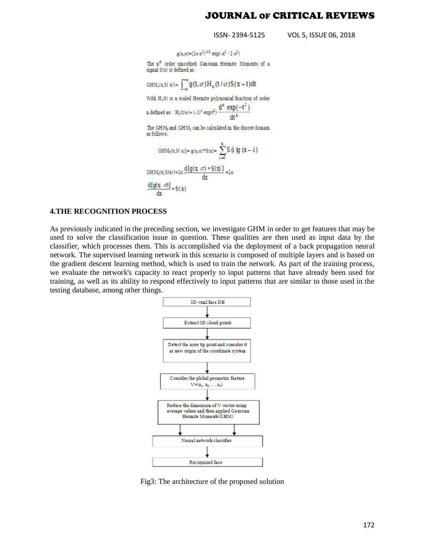ISSN- 2394-5125 VOL 5, ISSUE 06, 2018

 $g(x,\sigma)=(2\pi\sigma^2)^{-1/2}$  exp(-x<sup>2</sup> / 2  $\sigma^2$ ) The n<sup>th</sup> order smoothed Gaussian Hermite Moments of a signal S(x) is defined as: GHM<sub>n</sub>(x,S(x))=  $\int_{0}^{+\infty} g(t,\sigma) H_n(t/\sigma) S(x+t) dt$ With  $\mathbf{H}_n(\mathbf{t})$  is a scaled Hermite polynomial function of order  $\text{ n.defined as:} \ \ H_{\epsilon}(t/\sigma) = (-1)^n \exp(t^2) \ \frac{d^n \ \exp(-t^2\,)}{dt^n}$ The GHM<sub>0</sub> and GHM<sub>1</sub> can be calculated in the discret domain as follows:  $\text{GHM}_0(x,S(\sqrt{x}))=\mathsf{g}(x,\sigma)^*S(x)=\sum_{i=0}^n S\left(i\right)g\left(x-i\right)$  $\text{GHM}_1(x,S(x))\text{=2}\sigma\,\frac{\text{d}\big[g\big(\,x\ \sigma\big)\ast S\big(\,x\big)\,\big]}{\text{d} x}\text{=}2\sigma$  $\frac{d[g(x, 0)]}{dx} * S(x)$ 

#### **4.THE RECOGNITION PROCESS**

As previously indicated in the preceding section, we investigate GHM in order to get features that may be used to solve the classification issue in question. These qualities are then used as input data by the classifier, which processes them. This is accomplished via the deployment of a back propagation neural network. The supervised learning network in this scenario is composed of multiple layers and is based on the gradient descent learning method, which is used to train the network. As part of the training process, we evaluate the network's capacity to react properly to input patterns that have already been used for training, as well as its ability to respond effectively to input patterns that are similar to those used in the testing database, among other things.



Fig3: The architecture of the proposed solution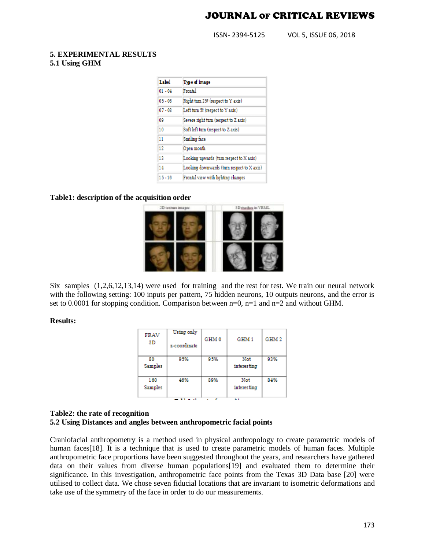ISSN- 2394-5125 VOL 5, ISSUE 06, 2018

## **5. EXPERIMENTAL RESULTS 5.1 Using GHM**

| Label     | Type of image                              |  |  |  |
|-----------|--------------------------------------------|--|--|--|
| $01 - 04$ | Frontal                                    |  |  |  |
| $05 - 06$ | Right turn 25º (respect to Y axis)         |  |  |  |
| $07 - 08$ | Left turn 5º (respect to Y axis)           |  |  |  |
| 09        | Severe right turn (respect to Z axis)      |  |  |  |
| 10        | Soft left turn (respect to Z axis)         |  |  |  |
| 11        | Smiling face                               |  |  |  |
| 12        | Open mouth                                 |  |  |  |
| 13        | Looking upwards (turn respect to X axis)   |  |  |  |
| 14        | Looking downwards (turn respect to X axis) |  |  |  |
| $15 - 16$ | Frontal view with lighting changes         |  |  |  |

### **Table1: description of the acquisition order**



Six samples (1,2,6,12,13,14) were used for training and the rest for test. We train our neural network with the following setting: 100 inputs per pattern, 75 hidden neurons, 10 outputs neurons, and the error is set to 0.0001 for stopping condition. Comparison between  $n=0$ ,  $n=1$  and  $n=2$  and without GHM.

### **Results:**

| <b>FRAV</b><br>3D | Using only<br>z-coordinate | GHM <sub>0</sub> | GHM <sub>1</sub>   | GHM <sub>2</sub> |
|-------------------|----------------------------|------------------|--------------------|------------------|
| 80<br>Samples     | 95%                        | 95%              | Not<br>interesting | 93%              |
| 160<br>Samples    | 46%                        | 89%              | Not<br>interesting | 84%              |

#### **Table2: the rate of recognition 5.2 Using Distances and angles between anthropometric facial points**

Craniofacial anthropometry is a method used in physical anthropology to create parametric models of human faces[18]. It is a technique that is used to create parametric models of human faces. Multiple anthropometric face proportions have been suggested throughout the years, and researchers have gathered data on their values from diverse human populations[19] and evaluated them to determine their significance. In this investigation, anthropometric face points from the Texas 3D Data base [20] were utilised to collect data. We chose seven fiducial locations that are invariant to isometric deformations and take use of the symmetry of the face in order to do our measurements.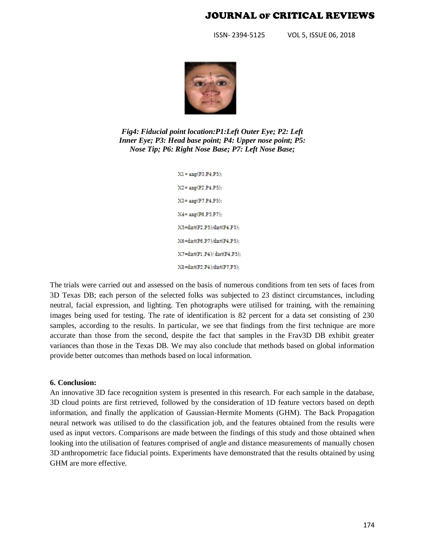ISSN- 2394-5125 VOL 5, ISSUE 06, 2018



*Fig4: Fiducial point location:P1:Left Outer Eye; P2: Left Inner Eye; P3: Head base point; P4: Upper nose point; P5: Nose Tip; P6: Right Nose Base; P7: Left Nose Base;*

> $X1 = ang(P3, P4, P5);$  $X2 = ang(P2, P4, P5);$  $X3 = ang( P7, P4, P5);$  $X4 = ang(P6, P5, P7);$ X5=dist(P2,P5)/dist(P4,P5); X6=dist(P6,P7)/dist(P4,P5); X7=dist(P1,P4)/dist(P4,P5); X8=dist(P2,P4)/dist(P7,P5);

The trials were carried out and assessed on the basis of numerous conditions from ten sets of faces from 3D Texas DB; each person of the selected folks was subjected to 23 distinct circumstances, including neutral, facial expression, and lighting. Ten photographs were utilised for training, with the remaining images being used for testing. The rate of identification is 82 percent for a data set consisting of 230 samples, according to the results. In particular, we see that findings from the first technique are more accurate than those from the second, despite the fact that samples in the Frav3D DB exhibit greater variances than those in the Texas DB. We may also conclude that methods based on global information provide better outcomes than methods based on local information.

#### **6. Conclusion:**

An innovative 3D face recognition system is presented in this research. For each sample in the database, 3D cloud points are first retrieved, followed by the consideration of 1D feature vectors based on depth information, and finally the application of Gaussian-Hermite Moments (GHM). The Back Propagation neural network was utilised to do the classification job, and the features obtained from the results were used as input vectors. Comparisons are made between the findings of this study and those obtained when looking into the utilisation of features comprised of angle and distance measurements of manually chosen 3D anthropometric face fiducial points. Experiments have demonstrated that the results obtained by using GHM are more effective.